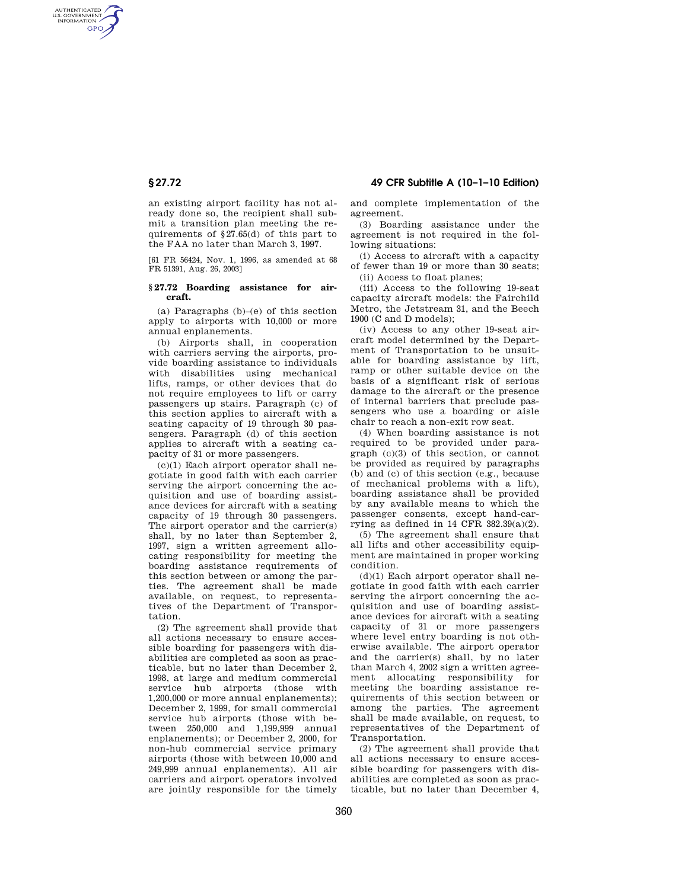# **§ 27.72 49 CFR Subtitle A (10–1–10 Edition)**

AUTHENTICATED<br>U.S. GOVERNMENT<br>INFORMATION **GPO** 

> an existing airport facility has not already done so, the recipient shall submit a transition plan meeting the requirements of §27.65(d) of this part to the FAA no later than March 3, 1997.

> [61 FR 56424, Nov. 1, 1996, as amended at 68 FR 51391, Aug. 26, 2003]

## **§ 27.72 Boarding assistance for aircraft.**

(a) Paragraphs (b)–(e) of this section apply to airports with 10,000 or more annual enplanements.

(b) Airports shall, in cooperation with carriers serving the airports, provide boarding assistance to individuals with disabilities using mechanical lifts, ramps, or other devices that do not require employees to lift or carry passengers up stairs. Paragraph (c) of this section applies to aircraft with a seating capacity of 19 through 30 passengers. Paragraph (d) of this section applies to aircraft with a seating capacity of 31 or more passengers.

 $(c)(1)$  Each airport operator shall negotiate in good faith with each carrier serving the airport concerning the acquisition and use of boarding assistance devices for aircraft with a seating capacity of 19 through 30 passengers. The airport operator and the carrier(s) shall, by no later than September 2, 1997, sign a written agreement allocating responsibility for meeting the boarding assistance requirements of this section between or among the parties. The agreement shall be made available, on request, to representatives of the Department of Transportation.

(2) The agreement shall provide that all actions necessary to ensure accessible boarding for passengers with disabilities are completed as soon as practicable, but no later than December 2, 1998, at large and medium commercial service hub airports (those with 1,200,000 or more annual enplanements); December 2, 1999, for small commercial service hub airports (those with between 250,000 and 1,199,999 annual enplanements); or December 2, 2000, for non-hub commercial service primary airports (those with between 10,000 and 249,999 annual enplanements). All air carriers and airport operators involved are jointly responsible for the timely

and complete implementation of the agreement.

(3) Boarding assistance under the agreement is not required in the following situations:

(i) Access to aircraft with a capacity of fewer than 19 or more than 30 seats;

(ii) Access to float planes;

(iii) Access to the following 19-seat capacity aircraft models: the Fairchild Metro, the Jetstream 31, and the Beech 1900 (C and D models);

(iv) Access to any other 19-seat aircraft model determined by the Department of Transportation to be unsuitable for boarding assistance by lift, ramp or other suitable device on the basis of a significant risk of serious damage to the aircraft or the presence of internal barriers that preclude passengers who use a boarding or aisle chair to reach a non-exit row seat.

(4) When boarding assistance is not required to be provided under paragraph (c)(3) of this section, or cannot be provided as required by paragraphs (b) and (c) of this section (e.g., because of mechanical problems with a lift), boarding assistance shall be provided by any available means to which the passenger consents, except hand-carrying as defined in 14 CFR 382.39(a)(2).

(5) The agreement shall ensure that all lifts and other accessibility equipment are maintained in proper working condition.

(d)(1) Each airport operator shall negotiate in good faith with each carrier serving the airport concerning the acquisition and use of boarding assistance devices for aircraft with a seating capacity of 31 or more passengers where level entry boarding is not otherwise available. The airport operator and the carrier(s) shall, by no later than March 4, 2002 sign a written agreement allocating responsibility for meeting the boarding assistance requirements of this section between or among the parties. The agreement shall be made available, on request, to representatives of the Department of Transportation.

(2) The agreement shall provide that all actions necessary to ensure accessible boarding for passengers with disabilities are completed as soon as practicable, but no later than December 4,